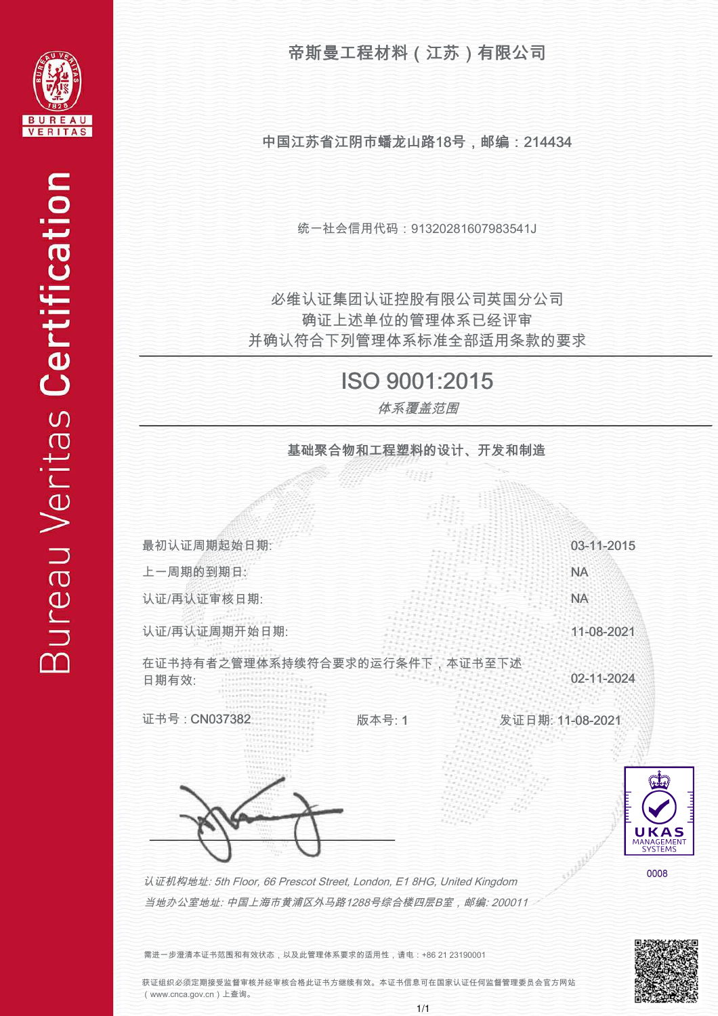

中国江苏省江阴市蟠龙山路18号,邮编:214434

统一社会信用代码:91320281607983541J

并确认符合下列管理体系标准全部适用条款的要求 确证上述单位的管理体系已经评审 必维认证集团认证控股有限公司英国分公司

## ISO 9001:2015

体系覆盖范围

基础聚合物和工程塑料的设计、开发和制造

Matta 最初认证周期起始日期: 03-11-2015 上一周期的到期日: NA 认证/再认证审核日期: NA 认证/再认证周期开始日期: 11-08-2021 在证书持有者之管理体系持续符合要求的运行条件下,本证书至下述 02-11-2024 日期有效: 证书号 : CN037382 版本号: 1 发证日期: 11-08-2021 JKAS MANAGEMENT 0008 认证机构地址: 5th Floor, 66 Prescot Street, London, E1 8HG, United Kingdom 当地办公室地址: 中国上海市黄浦区外马路1288号综合楼四层B室,邮编: 200011

需进一步澄清本证书范围和有效状态,以及此管理体系要求的适用性,请电:+86 21 23190001

获证组织必须定期接受监督审核并经审核合格此证书方继续有效。本证书信息可在国家认证任何监督管理委员会官方网站 (www.cnca.gov.cn)上查询。